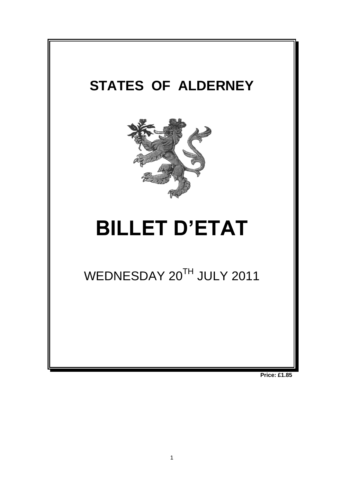

**Price: £1.85**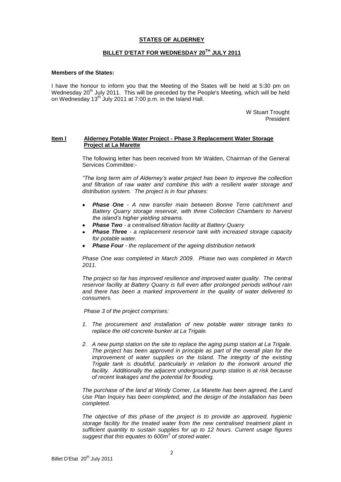# **STATES OF ALDERNEY**

## **BILLET D'ETAT FOR WEDNESDAY 20 TH JULY 2011**

#### **Members of the States:**

I have the honour to inform you that the Meeting of the States will be held at 5:30 pm on Wednesday 20<sup>th</sup> July 2011. This will be preceded by the People's Meeting, which will be held on Wednesday 13<sup>th</sup> July 2011 at 7:00 p.m. in the Island Hall.

> W Stuart Trought President

## **Item l Alderney Potable Water Project - Phase 3 Replacement Water Storage Project at La Marette**

The following letter has been received from Mr Walden, Chairman of the General Services Committee:-

*"The long term aim of Alderney's water project has been to improve the collection and filtration of raw water and combine this with a resilient water storage and distribution system. The project is in four phases:* 

- *Phase One - A new transfer main between Bonne Terre catchment and Battery Quarry storage reservoir, with three Collection Chambers to harvest the island's higher yielding streams.*
- *Phase Two - a centralised filtration facility at Battery Quarry*
- *Phase Three - a replacement reservoir tank with increased storage capacity for potable water.*
- *Phase Four - the replacement of the ageing distribution network*

*Phase One was completed in March 2009. Phase two was completed in March 2011.* 

*The project so far has improved resilience and improved water quality. The central reservoir facility at Battery Quarry is full even after prolonged periods without rain and there has been a marked improvement in the quality of water delivered to consumers.* 

*Phase 3 of the project comprises:*

- *1. The procurement and installation of new potable water storage tanks to replace the old concrete bunker at La Trigale.*
- *2. A new pump station on the site to replace the aging pump station at La Trigale. The project has been approved in principle as part of the overall plan for the improvement of water supplies on the Island. The integrity of the existing Trigale tank is doubtful, particularly in relation to the ironwork around the facility. Additionally the adjacent underground pump station is at risk because of recent leakages and the potential for flooding.*

*The purchase of the land at Windy Corner, La Marette has been agreed, the Land Use Plan Inquiry has been completed, and the design of the installation has been completed.*

*The objective of this phase of the project is to provide an approved, hygienic storage facility for the treated water from the new centralised treatment plant in sufficient quantity to sustain supplies for up to 12 hours. Current usage figures suggest that this equates to 600m<sup>3</sup> of stored water.*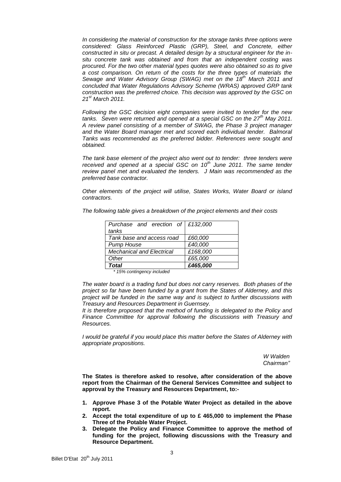*In considering the material of construction for the storage tanks three options were considered: Glass Reinforced Plastic (GRP), Steel, and Concrete, either constructed in situ or precast. A detailed design by a structural engineer for the insitu concrete tank was obtained and from that an independent costing was procured. For the two other material types quotes were also obtained so as to give a cost comparison. On return of the costs for the three types of materials the Sewage and Water Advisory Group (SWAG) met on the 18th March 2011 and concluded that Water Regulations Advisory Scheme (WRAS) approved GRP tank construction was the preferred choice. This decision was approved by the GSC on 21st March 2011.*

*Following the GSC decision eight companies were invited to tender for the new tanks. Seven were returned and opened at a special GSC on the 27th May 2011. A review panel consisting of a member of SWAG, the Phase 3 project manager and the Water Board manager met and scored each individual tender. Balmoral Tanks was recommended as the preferred bidder. References were sought and obtained.*

*The tank base element of the project also went out to tender: three tenders were received and opened at a special GSC on 10th June 2011. The same tender review panel met and evaluated the tenders. J Main was recommended as the preferred base contractor.*

*Other elements of the project will utilise, States Works, Water Board or island contractors.*

| The following table gives a breakdown of the project elements and their costs |  |  |
|-------------------------------------------------------------------------------|--|--|

| Purchase and erection of £132,000 |          |
|-----------------------------------|----------|
| tanks                             |          |
| Tank base and access road         | £60,000  |
| <b>Pump House</b>                 | £40,000  |
| <b>Mechanical and Electrical</b>  | £168,000 |
| Other                             | £65,000  |
| Total                             | £465,000 |

*\* 15% contingency included*

*The water board is a trading fund but does not carry reserves. Both phases of the project so far have been funded by a grant from the States of Alderney, and this project will be funded in the same way and is subject to further discussions with Treasury and Resources Department in Guernsey.*

*It is therefore proposed that the method of funding is delegated to the Policy and Finance Committee for approval following the discussions with Treasury and Resources.*

*I would be grateful if you would place this matter before the States of Alderney with appropriate propositions.*

> *W Walden Chairman"*

**The States is therefore asked to resolve, after consideration of the above report from the Chairman of the General Services Committee and subject to approval by the Treasury and Resources Department, to:-**

- **1. Approve Phase 3 of the Potable Water Project as detailed in the above report.**
- **2. Accept the total expenditure of up to £ 465,000 to implement the Phase Three of the Potable Water Project.**
- **3. Delegate the Policy and Finance Committee to approve the method of funding for the project, following discussions with the Treasury and Resource Department.**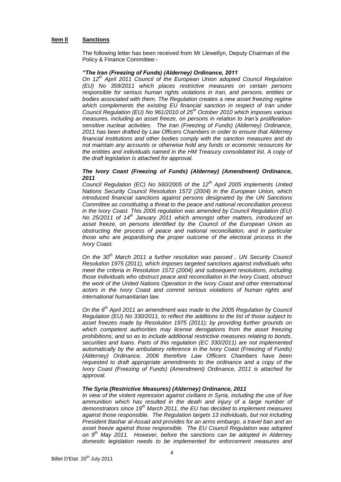## **Item ll Sanctions**

The following letter has been received from Mr Llewellyn, Deputy Chairman of the Policy & Finance Committee:-

## *"The Iran (Freezing of Funds) (Alderney) Ordinance, 2011*

*On 12th April 2011 Council of the European Union adopted Council Regulation (EU) No 359/2011 which places restrictive measures on certain persons responsible for serious human rights violations in Iran, and persons, entities or bodies associated with them. The Regulation creates a new asset freezing regime*  which complements the existing EU financial sanction in respect of Iran under *Council Regulation (EU) No 961/2010 of 25th October 2010 which imposes various measures, including an asset freeze, on persons in relation to Iran's proliferationsensitive nuclear activities. The Iran (Freezing of Funds) (Alderney) Ordinance, 2011 has been drafted by Law Officers Chambers in order to ensure that Alderney financial institutions and other bodies comply with the sanction measures and do not maintain any accounts or otherwise hold any funds or economic resources for the entities and individuals named in the HM Treasury consolidated list. A copy of the draft legislation is attached for approval.*

#### *The Ivory Coast (Freezing of Funds) (Alderney) (Amendment) Ordinance, 2011*

*Council Regulation (EC) No 560/2005 of the 12th April 2005 implements United Nations Security Council Resolution 1572 (2004) in the European Union, which introduced financial sanctions against persons designated by the UN Sanctions Committee as constituting a threat to the peace and national reconciliation process in the Ivory Coast. This 2005 regulation was amended by Council Regulation (EU) No 25/2011 of 14th January 2011 which amongst other matters, introduced an asset freeze, on persons identified by the Council of the European Union as obstructing the process of peace and national reconciliation, and in particular those who are jeopardising the proper outcome of the electoral process in the Ivory Coast.* 

*On the 30th March 2011 a further resolution was passed , UN Security Council Resolution 1975 (2011), which imposes targeted sanctions against individuals who meet the criteria in Resolution 1572 (2004) and subsequent resolutions, including those individuals who obstruct peace and reconciliation in the Ivory Coast, obstruct the work of the United Nations Operation in the Ivory Coast and other international actors in the Ivory Coast and commit serious violations of human rights and international humanitarian law.* 

*On the 6th April 2011 an amendment was made to the 2005 Regulation by Council Regulation (EU) No 330/2011, to reflect the additions to the list of those subject to asset freezes made by Resolution 1975 (2011); by providing further grounds on which competent authorities may license derogations from the asset freezing prohibitions; and so as to include additional restrictive measures relating to bonds, securities and loans. Parts of this regulation (EC 330/2011) are not implemented automatically by the ambulatory reference in the Ivory Coast (Freezing of Funds) (Alderney) Ordinance, 2006 therefore Law Officers Chambers have been requested to draft appropriate amendments to the ordinance and a copy of the Ivory Coast (Freezing of Funds) (Amendment) Ordinance, 2011 is attached for approval.*

#### *The Syria (Restrictive Measures) (Alderney) Ordinance, 2011*

*In view of the violent repression against civilians in Syria, including the use of live*  ammunition which has resulted in the death and injury of a large number of *demonstrators since 19th March 2011, the EU has decided to implement measures against those responsible. The Regulation targets 13 individuals, but not including President Bashar al-Assad and provides for an arms embargo, a travel ban and an asset freeze against those responsible. The EU Council Regulation was adopted on 9th May 2011. However, before the sanctions can be adopted in Alderney domestic legislation needs to be implemented for enforcement measures and*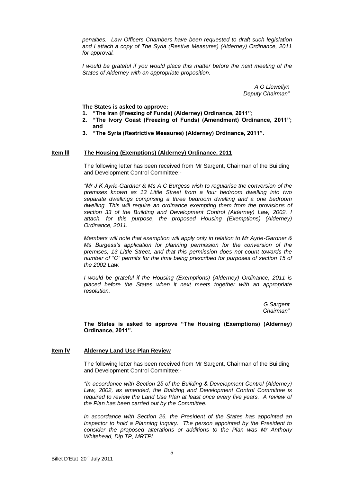*penalties. Law Officers Chambers have been requested to draft such legislation and I attach a copy of The Syria (Restive Measures) (Alderney) Ordinance, 2011 for approval.*

*I* would be grateful if you would place this matter before the next meeting of the *States of Alderney with an appropriate proposition.*

> *A O Llewellyn Deputy Chairman"*

**The States is asked to approve:**

- **1. "The Iran (Freezing of Funds) (Alderney) Ordinance, 2011";**
- **2. "The Ivory Coast (Freezing of Funds) (Amendment) Ordinance, 2011"; and**
- **3. "The Syria (Restrictive Measures) (Alderney) Ordinance, 2011".**

#### **Item III The Housing (Exemptions) (Alderney) Ordinance, 2011**

The following letter has been received from Mr Sargent, Chairman of the Building and Development Control Committee:-

*"Mr J K Ayrle-Gardner & Ms A C Burgess wish to regularise the conversion of the premises known as 13 Little Street from a four bedroom dwelling into two separate dwellings comprising a three bedroom dwelling and a one bedroom dwelling. This will require an ordinance exempting them from the provisions of section 33 of the Building and Development Control (Alderney) Law, 2002. I attach, for this purpose, the proposed Housing (Exemptions) (Alderney) Ordinance, 2011.*

*Members will note that exemption will apply only in relation to Mr Ayrle-Gardner & Ms Burgess's application for planning permission for the conversion of the premises, 13 Little Street, and that this permission does not count towards the number of "C" permits for the time being prescribed for purposes of section 15 of the 2002 Law.*

*I would be grateful if the Housing (Exemptions) (Alderney) Ordinance, 2011 is placed before the States when it next meets together with an appropriate resolution.*

> *G Sargent Chairman"*

**The States is asked to approve "The Housing (Exemptions) (Alderney) Ordinance, 2011".** 

#### **Item lV Alderney Land Use Plan Review**

The following letter has been received from Mr Sargent, Chairman of the Building and Development Control Committee:-

*"In accordance with Section 25 of the Building & Development Control (Alderney) Law, 2002, as amended, the Building and Development Control Committee is*  required to review the Land Use Plan at least once every five years. A review of *the Plan has been carried out by the Committee.* 

*In accordance with Section 26, the President of the States has appointed an Inspector to hold a Planning Inquiry. The person appointed by the President to consider the proposed alterations or additions to the Plan was Mr Anthony Whitehead, Dip TP, MRTPI.*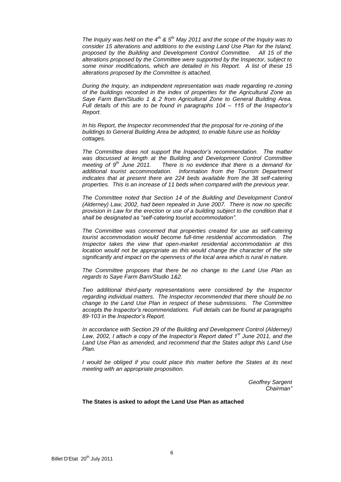*The Inquiry was held on the 4th & 5th May 2011 and the scope of the Inquiry was to consider 15 alterations and additions to the existing Land Use Plan for the Island, proposed by the Building and Development Control Committee. All 15 of the alterations proposed by the Committee were supported by the Inspector, subject to some minor modifications, which are detailed in his Report. A list of these 15 alterations proposed by the Committee is attached.*

*During the Inquiry, an independent representation was made regarding re-zoning of the buildings recorded in the index of properties for the Agricultural Zone as Saye Farm Barn/Studio 1 & 2 from Agricultural Zone to General Building Area. Full details of this are to be found in paragraphs 104 – 115 of the Inspector's Report.* 

*In his Report, the Inspector recommended that the proposal for re-zoning of the buildings to General Building Area be adopted, to enable future use as holiday cottages.* 

*The Committee does not support the Inspector's recommendation. The matter was discussed at length at the Building and Development Control Committee meeting of 9th June 2011. There is no evidence that there is a demand for additional tourist accommodation. Information from the Tourism Department indicates that at present there are 224 beds available from the 38 self-catering properties. This is an increase of 11 beds when compared with the previous year.*

*The Committee noted that Section 14 of the Building and Development Control (Alderney) Law, 2002, had been repealed in June 2007. There is now no specific provision in Law for the erection or use of a building subject to the condition that it shall be designated as "self-catering tourist accommodation".* 

*The Committee was concerned that properties created for use as self-catering tourist accommodation would become full-time residential accommodation. The Inspector takes the view that open-market residential accommodation at this location would not be appropriate as this would change the character of the site significantly and impact on the openness of the local area which is rural in nature.* 

*The Committee proposes that there be no change to the Land Use Plan as regards to Saye Farm Barn/Studio 1&2.*

*Two additional third-party representations were considered by the Inspector regarding individual matters. The Inspector recommended that there should be no change to the Land Use Plan in respect of these submissions. The Committee accepts the Inspector's recommendations. Full details can be found at paragraphs 89-103 in the Inspector's Report.*

*In accordance with Section 29 of the Building and Development Control (Alderney) Law, 2002, I attach a copy of the Inspector's Report dated 1st June 2011, and the Land Use Plan as amended, and recommend that the States adopt this Land Use Plan.* 

*I* would be obliged if you could place this matter before the States at its next *meeting with an appropriate proposition.*

> *Geoffrey Sargent Chairman"*

**The States is asked to adopt the Land Use Plan as attached**